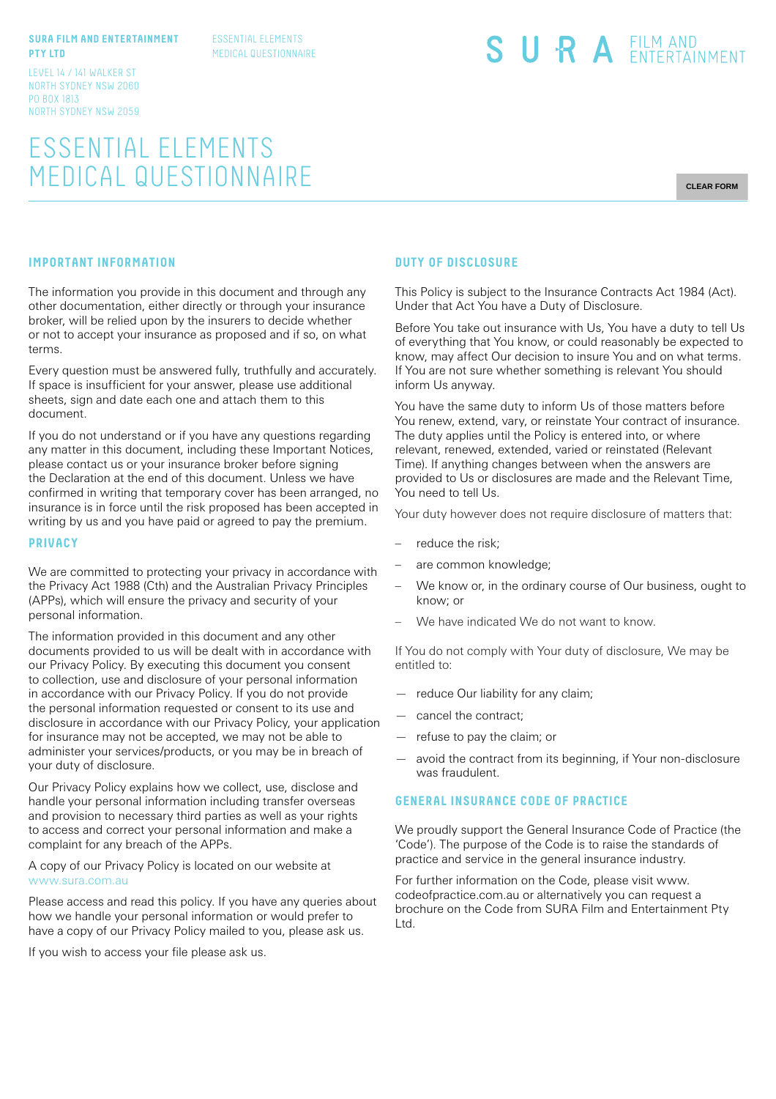#### **SURA FILM AND ENTERTAINMENT PTY LTD**

ESSENTIAL ELEMENTS MEDICAL QUESTIONNAIRE

LEVEL 14 / 141 WALKER ST NORTH SYDNEY NSW 2060 PO BOX 1813 NORTH SYDNEY NSW 2059

# ESSENTIAL ELEMENTS MEDICAL QUESTIONNAIRE

SURA EILM AND

**CLEAR FORM**

### **IMPORTANT INFORMATION**

The information you provide in this document and through any other documentation, either directly or through your insurance broker, will be relied upon by the insurers to decide whether or not to accept your insurance as proposed and if so, on what terms.

Every question must be answered fully, truthfully and accurately. If space is insufficient for your answer, please use additional sheets, sign and date each one and attach them to this document.

If you do not understand or if you have any questions regarding any matter in this document, including these Important Notices, please contact us or your insurance broker before signing the Declaration at the end of this document. Unless we have confirmed in writing that temporary cover has been arranged, no insurance is in force until the risk proposed has been accepted in writing by us and you have paid or agreed to pay the premium.

#### **PRIVACY**

We are committed to protecting your privacy in accordance with the Privacy Act 1988 (Cth) and the Australian Privacy Principles (APPs), which will ensure the privacy and security of your personal information.

The information provided in this document and any other documents provided to us will be dealt with in accordance with our Privacy Policy. By executing this document you consent to collection, use and disclosure of your personal information in accordance with our Privacy Policy. If you do not provide the personal information requested or consent to its use and disclosure in accordance with our Privacy Policy, your application for insurance may not be accepted, we may not be able to administer your services/products, or you may be in breach of your duty of disclosure.

Our Privacy Policy explains how we collect, use, disclose and handle your personal information including transfer overseas and provision to necessary third parties as well as your rights to access and correct your personal information and make a complaint for any breach of the APPs.

A copy of our Privacy Policy is located on our website at www.sura.com.au

Please access and read this policy. If you have any queries about how we handle your personal information or would prefer to have a copy of our Privacy Policy mailed to you, please ask us.

If you wish to access your file please ask us.

#### **DUTY OF DISCLOSURE**

This Policy is subject to the Insurance Contracts Act 1984 (Act). Under that Act You have a Duty of Disclosure.

Before You take out insurance with Us, You have a duty to tell Us of everything that You know, or could reasonably be expected to know, may affect Our decision to insure You and on what terms. If You are not sure whether something is relevant You should inform Us anyway.

You have the same duty to inform Us of those matters before You renew, extend, vary, or reinstate Your contract of insurance. The duty applies until the Policy is entered into, or where relevant, renewed, extended, varied or reinstated (Relevant Time). If anything changes between when the answers are provided to Us or disclosures are made and the Relevant Time, You need to tell Us.

Your duty however does not require disclosure of matters that:

- reduce the risk:
- are common knowledge;
- We know or, in the ordinary course of Our business, ought to know; or
- We have indicated We do not want to know.

If You do not comply with Your duty of disclosure, We may be entitled to:

- reduce Our liability for any claim;
- cancel the contract;
- refuse to pay the claim; or
- avoid the contract from its beginning, if Your non-disclosure was fraudulent.

## **GENERAL INSURANCE CODE OF PRACTICE**

We proudly support the General Insurance Code of Practice (the 'Code'). The purpose of the Code is to raise the standards of practice and service in the general insurance industry.

For further information on the Code, please visit www. codeofpractice.com.au or alternatively you can request a brochure on the Code from SURA Film and Entertainment Pty Ltd.